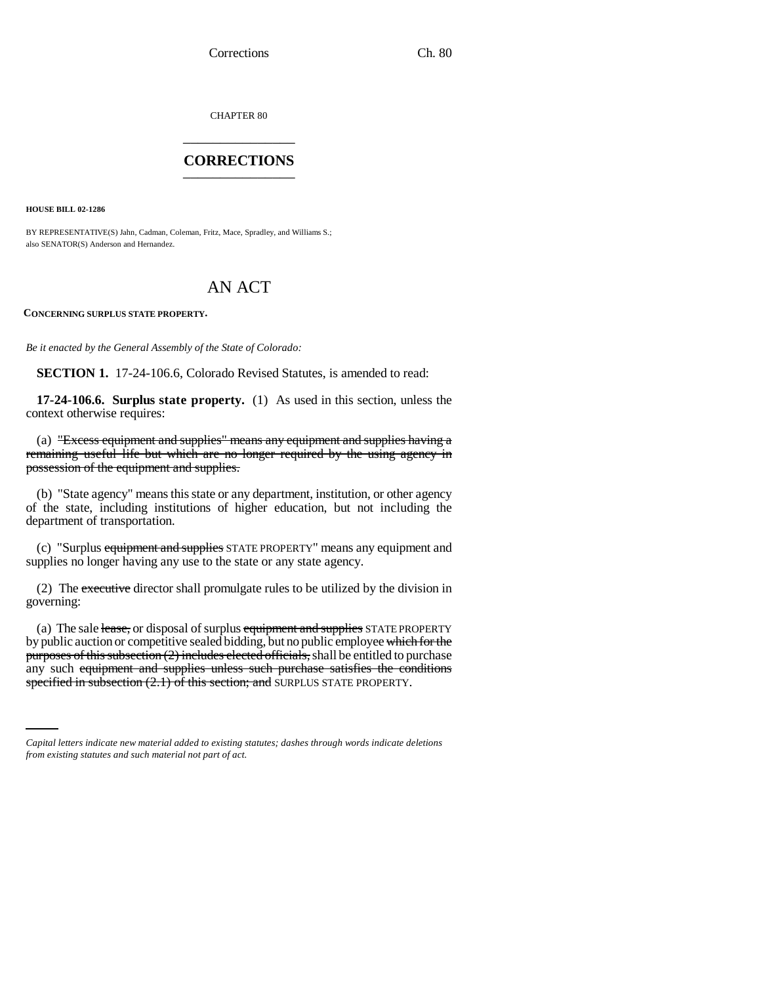CHAPTER 80 \_\_\_\_\_\_\_\_\_\_\_\_\_\_\_

### **CORRECTIONS** \_\_\_\_\_\_\_\_\_\_\_\_\_\_\_

**HOUSE BILL 02-1286**

BY REPRESENTATIVE(S) Jahn, Cadman, Coleman, Fritz, Mace, Spradley, and Williams S.; also SENATOR(S) Anderson and Hernandez.

# AN ACT

**CONCERNING SURPLUS STATE PROPERTY.**

*Be it enacted by the General Assembly of the State of Colorado:*

**SECTION 1.** 17-24-106.6, Colorado Revised Statutes, is amended to read:

**17-24-106.6. Surplus state property.** (1) As used in this section, unless the context otherwise requires:

(a) "Excess equipment and supplies" means any equipment and supplies having a remaining useful life but which are no longer required by the using agency in possession of the equipment and supplies.

(b) "State agency" means this state or any department, institution, or other agency of the state, including institutions of higher education, but not including the department of transportation.

(c) "Surplus equipment and supplies STATE PROPERTY" means any equipment and supplies no longer having any use to the state or any state agency.

(2) The executive director shall promulgate rules to be utilized by the division in governing:

purposes of any subsection (2) includes effected officials, shall be entitled to purchase<br>any such equipment and supplies unless such purchase satisfies the conditions (a) The sale lease, or disposal of surplus equipment and supplies STATE PROPERTY by public auction or competitive sealed bidding, but no public employee which for the purposes of this subsection (2) includes elected officials, shall be entitled to purchase specified in subsection (2.1) of this section; and SURPLUS STATE PROPERTY.

*Capital letters indicate new material added to existing statutes; dashes through words indicate deletions from existing statutes and such material not part of act.*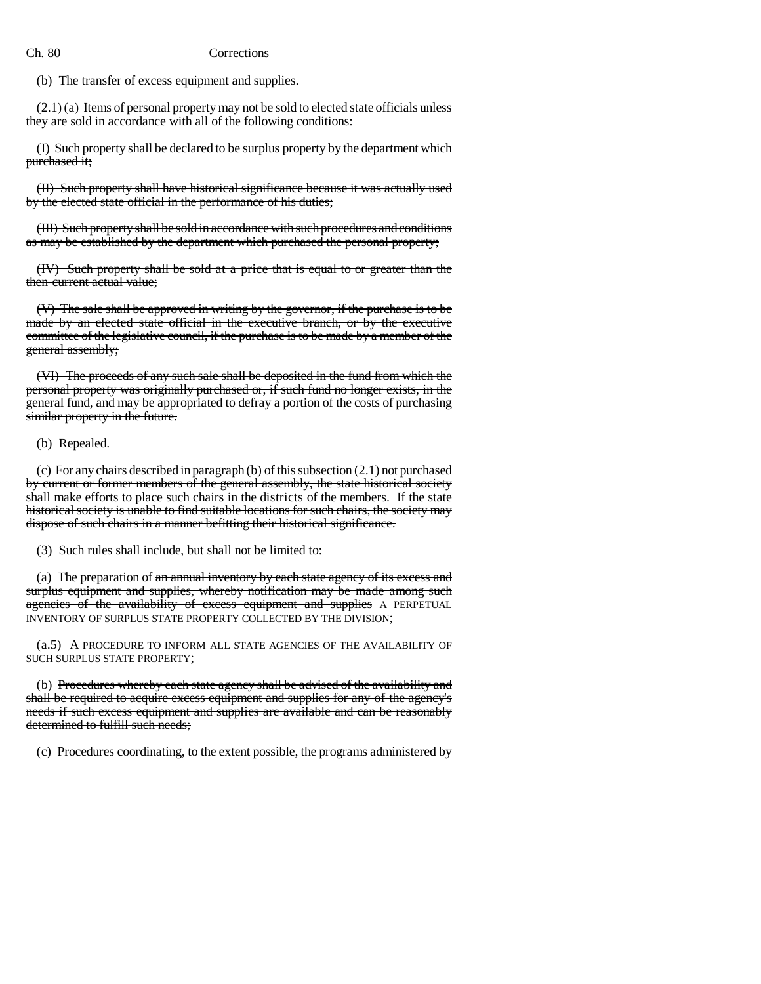### Ch. 80 Corrections

(b) The transfer of excess equipment and supplies.

 $(2.1)$  (a) Items of personal property may not be sold to elected state officials unless they are sold in accordance with all of the following conditions:

(I) Such property shall be declared to be surplus property by the department which purchased it;

(II) Such property shall have historical significance because it was actually used by the elected state official in the performance of his duties;

(III) Such property shall be sold in accordance with such procedures and conditions as may be established by the department which purchased the personal property;

(IV) Such property shall be sold at a price that is equal to or greater than the then-current actual value;

(V) The sale shall be approved in writing by the governor, if the purchase is to be made by an elected state official in the executive branch, or by the executive committee of the legislative council, if the purchase is to be made by a member of the general assembly;

(VI) The proceeds of any such sale shall be deposited in the fund from which the personal property was originally purchased or, if such fund no longer exists, in the general fund, and may be appropriated to defray a portion of the costs of purchasing similar property in the future.

(b) Repealed.

(c) For any chairs described in paragraph  $(b)$  of this subsection  $(2.1)$  not purchased by current or former members of the general assembly, the state historical society shall make efforts to place such chairs in the districts of the members. If the state historical society is unable to find suitable locations for such chairs, the society may dispose of such chairs in a manner befitting their historical significance.

(3) Such rules shall include, but shall not be limited to:

(a) The preparation of an annual inventory by each state agency of its excess and surplus equipment and supplies, whereby notification may be made among such agencies of the availability of excess equipment and supplies A PERPETUAL INVENTORY OF SURPLUS STATE PROPERTY COLLECTED BY THE DIVISION;

(a.5) A PROCEDURE TO INFORM ALL STATE AGENCIES OF THE AVAILABILITY OF SUCH SURPLUS STATE PROPERTY;

(b) Procedures whereby each state agency shall be advised of the availability and shall be required to acquire excess equipment and supplies for any of the agency's needs if such excess equipment and supplies are available and can be reasonably determined to fulfill such needs;

(c) Procedures coordinating, to the extent possible, the programs administered by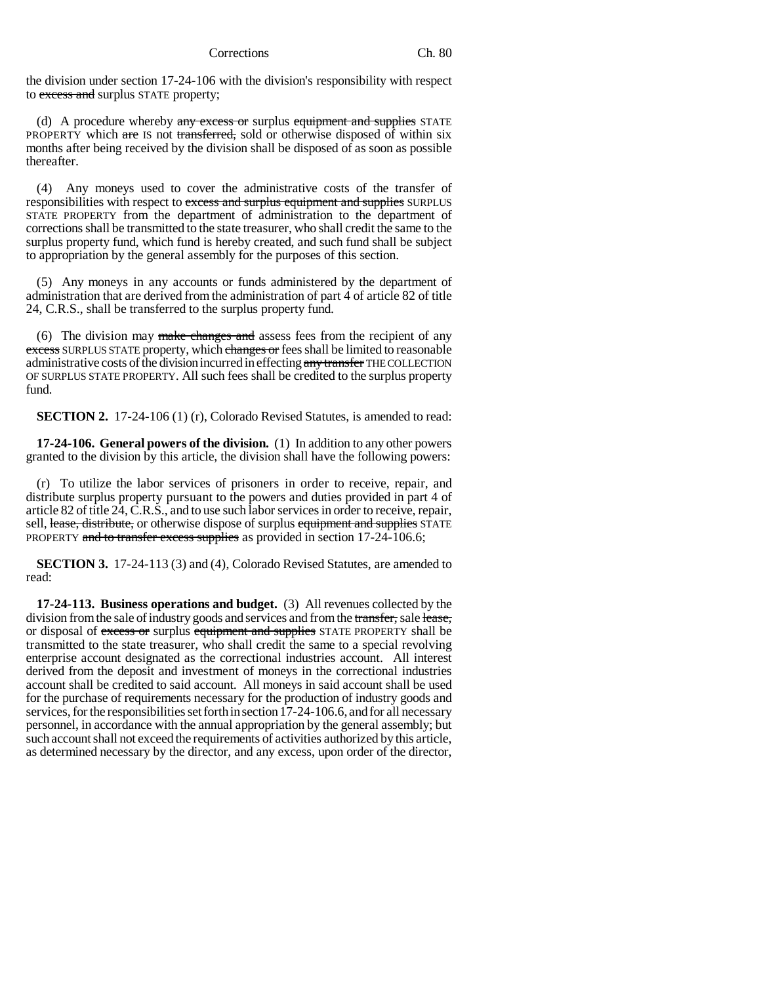the division under section 17-24-106 with the division's responsibility with respect to excess and surplus STATE property;

(d) A procedure whereby  $\frac{any}{3}$  excess or surplus equipment and supplies STATE PROPERTY which are IS not transferred, sold or otherwise disposed of within six months after being received by the division shall be disposed of as soon as possible thereafter.

(4) Any moneys used to cover the administrative costs of the transfer of responsibilities with respect to excess and surplus equipment and supplies SURPLUS STATE PROPERTY from the department of administration to the department of corrections shall be transmitted to the state treasurer, who shall credit the same to the surplus property fund, which fund is hereby created, and such fund shall be subject to appropriation by the general assembly for the purposes of this section.

(5) Any moneys in any accounts or funds administered by the department of administration that are derived from the administration of part 4 of article 82 of title 24, C.R.S., shall be transferred to the surplus property fund.

(6) The division may make changes and assess fees from the recipient of any excess SURPLUS STATE property, which changes or fees shall be limited to reasonable administrative costs of the division incurred in effecting any transfer THE COLLECTION OF SURPLUS STATE PROPERTY. All such fees shall be credited to the surplus property fund.

**SECTION 2.** 17-24-106 (1) (r), Colorado Revised Statutes, is amended to read:

**17-24-106. General powers of the division.** (1) In addition to any other powers granted to the division by this article, the division shall have the following powers:

(r) To utilize the labor services of prisoners in order to receive, repair, and distribute surplus property pursuant to the powers and duties provided in part 4 of article 82 of title 24, C.R.S., and to use such labor services in order to receive, repair, sell, lease, distribute, or otherwise dispose of surplus equipment and supplies STATE PROPERTY and to transfer excess supplies as provided in section 17-24-106.6;

**SECTION 3.** 17-24-113 (3) and (4), Colorado Revised Statutes, are amended to read:

**17-24-113. Business operations and budget.** (3) All revenues collected by the division from the sale of industry goods and services and from the transfer, sale lease, or disposal of excess or surplus equipment and supplies STATE PROPERTY shall be transmitted to the state treasurer, who shall credit the same to a special revolving enterprise account designated as the correctional industries account. All interest derived from the deposit and investment of moneys in the correctional industries account shall be credited to said account. All moneys in said account shall be used for the purchase of requirements necessary for the production of industry goods and services, for the responsibilities set forth in section 17-24-106.6, and for all necessary personnel, in accordance with the annual appropriation by the general assembly; but such account shall not exceed the requirements of activities authorized by this article, as determined necessary by the director, and any excess, upon order of the director,